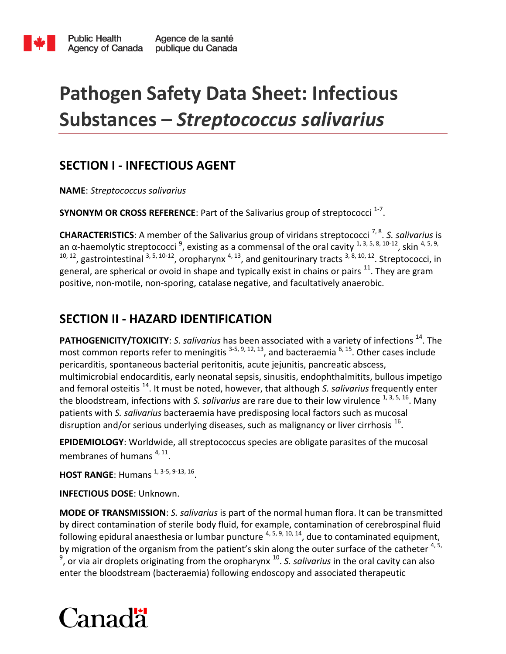

# **Pathogen Safety Data Sheet: Infectious Substances –** *Streptococcus salivarius*

### **SECTION I - INFECTIOUS AGENT**

**NAME**: *Streptococcus salivarius*

**SYNONYM OR CROSS REFERENCE**: Part of the Salivarius group of streptococci <sup>1-7</sup>.

**CHARACTERISTICS**: A member of the Salivarius group of viridans streptococci 7, 8 . *S. salivarius* is an α-haemolytic streptococci<sup>9</sup>, existing as a commensal of the oral cavity  $1, 3, 5, 8, 10$ -12, skin  $4, 5, 9$ ,  $10, 12$ , gastrointestinal  $3, 5, 10-12$ , oropharynx  $4, 13$ , and genitourinary tracts  $3, 8, 10, 12$ . Streptococci, in general, are spherical or ovoid in shape and typically exist in chains or pairs  $^{11}$ . They are gram positive, non-motile, non-sporing, catalase negative, and facultatively anaerobic.

### **SECTION II - HAZARD IDENTIFICATION**

**PATHOGENICITY/TOXICITY**: *S. salivarius* has been associated with a variety of infections <sup>14</sup>. The most common reports refer to meningitis  $3-5, 9, 12, 13$ , and bacteraemia  $6, 15$ . Other cases include pericarditis, spontaneous bacterial peritonitis, acute jejunitis, pancreatic abscess, multimicrobial endocarditis, early neonatal sepsis, sinusitis, endophthalmitits, bullous impetigo and femoral osteitis <sup>14</sup>. It must be noted, however, that although *S. salivarius* frequently enter the bloodstream, infections with *S. salivarius* are rare due to their low virulence <sup>1, 3, 5, 16</sup>. Many patients with *S. salivarius* bacteraemia have predisposing local factors such as mucosal disruption and/or serious underlying diseases, such as malignancy or liver cirrhosis  $^{16}$ .

**EPIDEMIOLOGY**: Worldwide, all streptococcus species are obligate parasites of the mucosal membranes of humans <sup>4, 11</sup>.

**HOST RANGE:** Humans <sup>1, 3-5, 9-13, 16.</sup>

**INFECTIOUS DOSE**: Unknown.

**MODE OF TRANSMISSION**: *S. salivarius* is part of the normal human flora. It can be transmitted by direct contamination of sterile body fluid, for example, contamination of cerebrospinal fluid following epidural anaesthesia or lumbar puncture  $4, 5, 9, 10, 14$ , due to contaminated equipment, by migration of the organism from the patient's skin along the outer surface of the catheter  $4, 5$ , <sup>9</sup>, or via air droplets originating from the oropharynx <sup>10</sup>. S. salivarius in the oral cavity can also enter the bloodstream (bacteraemia) following endoscopy and associated therapeutic

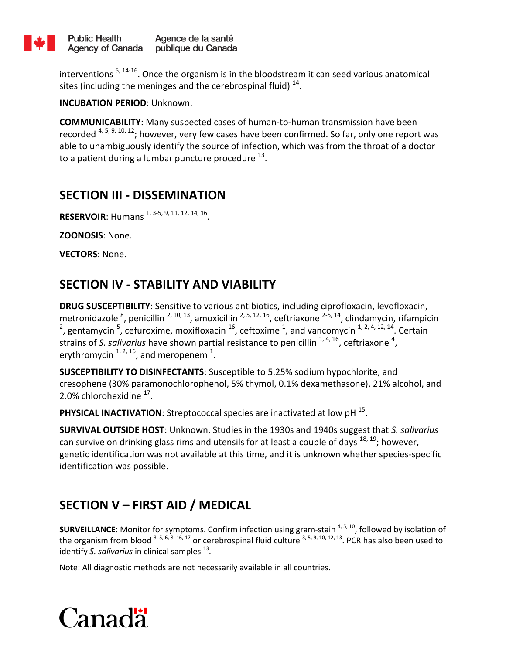

interventions  $5, 14-16$ . Once the organism is in the bloodstream it can seed various anatomical sites (including the meninges and the cerebrospinal fluid)  $^{14}$ .

**INCUBATION PERIOD**: Unknown.

**COMMUNICABILITY**: Many suspected cases of human-to-human transmission have been recorded  $4, 5, 9, 10, 12$ ; however, very few cases have been confirmed. So far, only one report was able to unambiguously identify the source of infection, which was from the throat of a doctor to a patient during a lumbar puncture procedure  $^{13}$ .

#### **SECTION III - DISSEMINATION**

**RESERVOIR**: Humans <sup>1, 3-5, 9, 11, 12, 14, 16.</sup>

**ZOONOSIS**: None.

**VECTORS**: None.

### **SECTION IV - STABILITY AND VIABILITY**

**DRUG SUSCEPTIBILITY**: Sensitive to various antibiotics, including ciprofloxacin, levofloxacin, metronidazole <sup>8</sup>, penicillin <sup>2, 10, 13</sup>, amoxicillin <sup>2, 5, 12, 16</sup>, ceftriaxone <sup>2-5, 14</sup>, clindamycin, rifampicin <sup>2</sup>, gentamycin <sup>5</sup>, cefuroxime, moxifloxacin <sup>16</sup>, ceftoxime <sup>1</sup>, and vancomycin <sup>1, 2, 4, 12, 14</sup>. Certain strains of S. salivarius have shown partial resistance to penicillin <sup>1, 4, 16</sup>, ceftriaxone <sup>4</sup>, erythromycin  $^{1, 2, 16}$ , and meropenem  $^{1}$ .

**SUSCEPTIBILITY TO DISINFECTANTS**: Susceptible to 5.25% sodium hypochlorite, and cresophene (30% paramonochlorophenol, 5% thymol, 0.1% dexamethasone), 21% alcohol, and  $2.0\%$  chlorohexidine  $^{17}$ .

PHYSICAL INACTIVATION: Streptococcal species are inactivated at low pH <sup>15</sup>.

**SURVIVAL OUTSIDE HOST**: Unknown. Studies in the 1930s and 1940s suggest that *S. salivarius* can survive on drinking glass rims and utensils for at least a couple of days  $^{18, 19}$ ; however, genetic identification was not available at this time, and it is unknown whether species-specific identification was possible.

# **SECTION V – FIRST AID / MEDICAL**

**SURVEILLANCE:** Monitor for symptoms. Confirm infection using gram-stain <sup>4, 5, 10</sup>, followed by isolation of the organism from blood  $3, 5, 6, 8, 16, 17$  or cerebrospinal fluid culture  $3, 5, 9, 10, 12, 13$ . PCR has also been used to identify S. salivarius in clinical samples <sup>13</sup>.

Note: All diagnostic methods are not necessarily available in all countries.

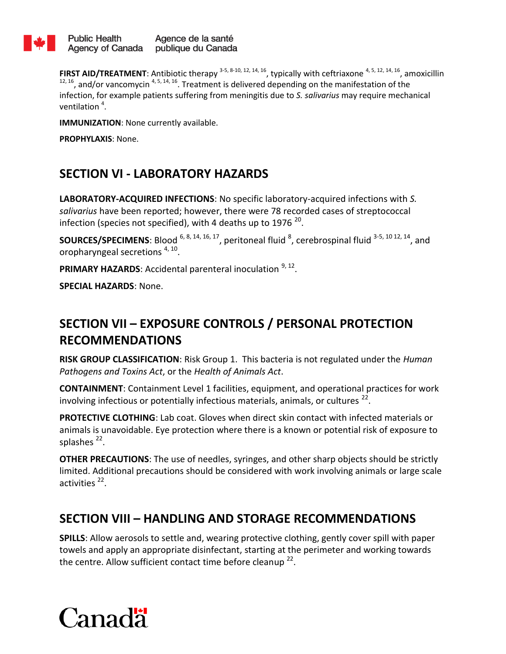

**FIRST AID/TREATMENT**: Antibiotic therapy  $3-5$ ,  $8-10$ ,  $12$ ,  $14$ ,  $16$ , typically with ceftriaxone  $4$ ,  $5$ ,  $12$ ,  $14$ ,  $16$ , amoxicillin  $12, 16$ , and/or vancomycin  $4, 5, 14, 16$ . Treatment is delivered depending on the manifestation of the infection, for example patients suffering from meningitis due to *S. salivarius* may require mechanical ventilation  $4$ .

**IMMUNIZATION**: None currently available.

**PROPHYLAXIS**: None.

### **SECTION VI - LABORATORY HAZARDS**

**LABORATORY-ACQUIRED INFECTIONS**: No specific laboratory-acquired infections with *S. salivarius* have been reported; however, there were 78 recorded cases of streptococcal infection (species not specified), with 4 deaths up to 1976  $^{20}$ .

**SOURCES/SPECIMENS**: Blood <sup>6, 8, 14, 16, 17, peritoneal fluid  $^8$ , cerebrospinal fluid  $^{3-5, 10}$  12, 14, and</sup> oropharyngeal secretions <sup>4, 10</sup>.

PRIMARY HAZARDS: Accidental parenteral inoculation <sup>9, 12</sup>.

**SPECIAL HAZARDS**: None.

## **SECTION VII – EXPOSURE CONTROLS / PERSONAL PROTECTION RECOMMENDATIONS**

**RISK GROUP CLASSIFICATION**: Risk Group 1. This bacteria is not regulated under the *Human Pathogens and Toxins Act*, or the *Health of Animals Act*.

**CONTAINMENT**: Containment Level 1 facilities, equipment, and operational practices for work involving infectious or potentially infectious materials, animals, or cultures  $^{22}$ .

**PROTECTIVE CLOTHING**: Lab coat. Gloves when direct skin contact with infected materials or animals is unavoidable. Eye protection where there is a known or potential risk of exposure to splashes<sup>22</sup>.

**OTHER PRECAUTIONS**: The use of needles, syringes, and other sharp objects should be strictly limited. Additional precautions should be considered with work involving animals or large scale activities<sup>22</sup>.

#### **SECTION VIII – HANDLING AND STORAGE RECOMMENDATIONS**

**SPILLS**: Allow aerosols to settle and, wearing protective clothing, gently cover spill with paper towels and apply an appropriate disinfectant, starting at the perimeter and working towards the centre. Allow sufficient contact time before cleanup  $^{22}$ .

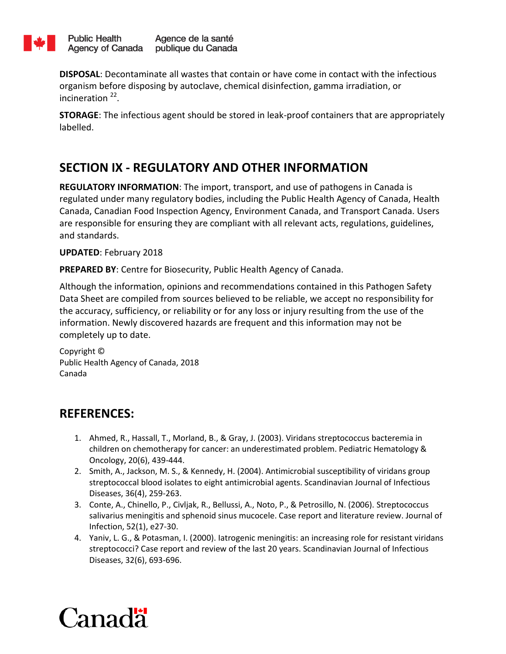

**DISPOSAL**: Decontaminate all wastes that contain or have come in contact with the infectious organism before disposing by autoclave, chemical disinfection, gamma irradiation, or incineration<sup>22</sup>.

**STORAGE**: The infectious agent should be stored in leak-proof containers that are appropriately labelled.

# **SECTION IX - REGULATORY AND OTHER INFORMATION**

**REGULATORY INFORMATION**: The import, transport, and use of pathogens in Canada is regulated under many regulatory bodies, including the Public Health Agency of Canada, Health Canada, Canadian Food Inspection Agency, Environment Canada, and Transport Canada. Users are responsible for ensuring they are compliant with all relevant acts, regulations, guidelines, and standards.

#### **UPDATED**: February 2018

**PREPARED BY**: Centre for Biosecurity, Public Health Agency of Canada.

Although the information, opinions and recommendations contained in this Pathogen Safety Data Sheet are compiled from sources believed to be reliable, we accept no responsibility for the accuracy, sufficiency, or reliability or for any loss or injury resulting from the use of the information. Newly discovered hazards are frequent and this information may not be completely up to date.

Copyright © Public Health Agency of Canada, 2018 Canada

### **REFERENCES:**

- 1. Ahmed, R., Hassall, T., Morland, B., & Gray, J. (2003). Viridans streptococcus bacteremia in children on chemotherapy for cancer: an underestimated problem. Pediatric Hematology & Oncology, 20(6), 439-444.
- 2. Smith, A., Jackson, M. S., & Kennedy, H. (2004). Antimicrobial susceptibility of viridans group streptococcal blood isolates to eight antimicrobial agents. Scandinavian Journal of Infectious Diseases, 36(4), 259-263.
- 3. Conte, A., Chinello, P., Civljak, R., Bellussi, A., Noto, P., & Petrosillo, N. (2006). Streptococcus salivarius meningitis and sphenoid sinus mucocele. Case report and literature review. Journal of Infection, 52(1), e27-30.
- 4. Yaniv, L. G., & Potasman, I. (2000). Iatrogenic meningitis: an increasing role for resistant viridans streptococci? Case report and review of the last 20 years. Scandinavian Journal of Infectious Diseases, 32(6), 693-696.